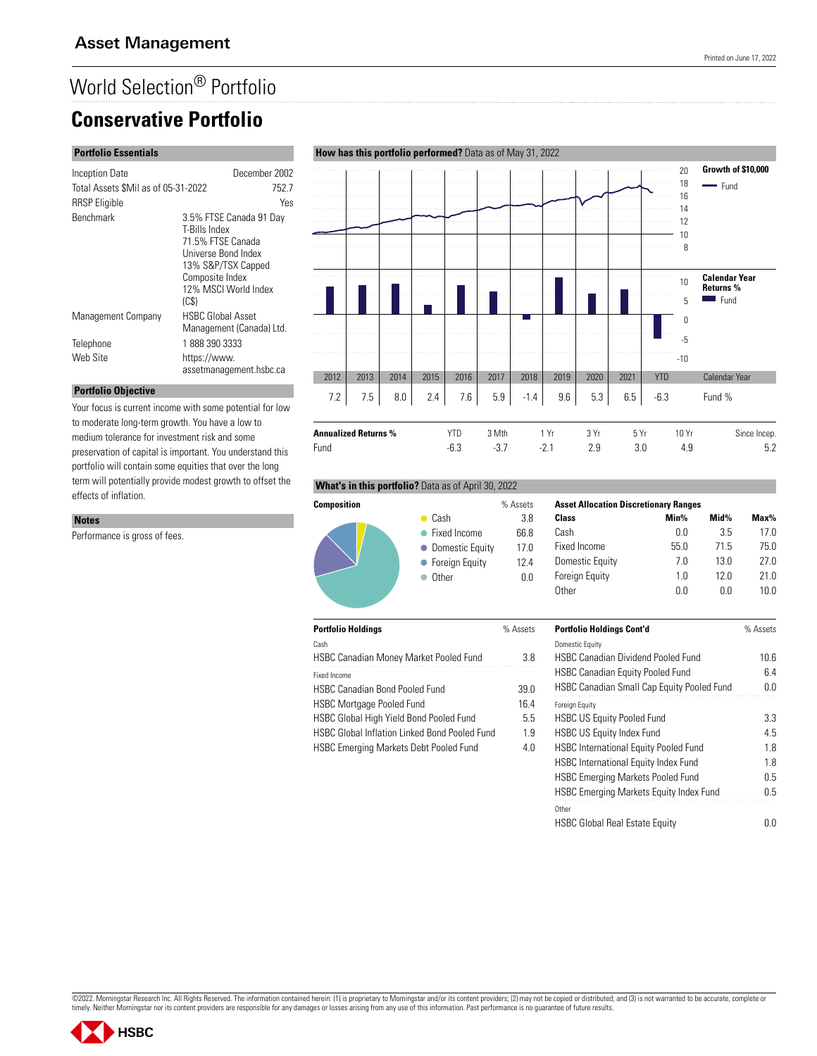## World Selection® Portfolio **Conservative Portfolio**

#### **Portfolio Essentials**

| Inception Date                      | December 2002                                                                                                                                                  |
|-------------------------------------|----------------------------------------------------------------------------------------------------------------------------------------------------------------|
| Total Assets \$Mil as of 05-31-2022 | 752.7                                                                                                                                                          |
| <b>RRSP</b> Eligible                | Yes                                                                                                                                                            |
| <b>Benchmark</b>                    | 3.5% FTSE Canada 91 Day<br>T-Bills Index<br>71.5% FTSE Canada<br>Universe Bond Index<br>13% S&P/TSX Capped<br>Composite Index<br>12% MSCI World Index<br>(C\$) |
| Management Company                  | <b>HSBC Global Asset</b>                                                                                                                                       |
|                                     | Management (Canada) Ltd.                                                                                                                                       |
| Telephone                           | 18883903333                                                                                                                                                    |
| Web Site                            | https://www.<br>assetmanagement.hsbc.ca                                                                                                                        |

#### 20 **Growth of \$10,000** a sa sa . . . . . . . . . . . . . . 18 - Fund . . . . . . . . . 16 14 12 10 . . . . . . . . . . . . . . . . .  $\overline{a}$ . . . . . . . . . . . . . . . . 8 .<del>.........</del> . . . . . . . . 10 **Calendar Year Returns %**  $Fund$ 5 0 . . . . . . . . . . -5 -10 2012 2013 2014 2015 2016 2017 2018 2019 2020 2021 YTD Calendar Year

#### **Portfolio Objective**

Performance is gross of fees.

**Notes**

Your focus is current income with some potential for low to moderate long-term growth. You have a low to medium tolerance for investment risk and some preservation of capital is important. You understand this portfolio will contain some equities that over the long term will potentially provide modest growth to offset the effects of inflation.

# 7.2 7.5 8.0 2.4 7.6 5.9 -1.4 9.6 5.3 6.5 -6.3 Fund % **Annualized Returns %** YTD 3 Mth 1 Yr 3 Yr 5 Yr 10 Yr Since Incep. Fund -6.3 -3.7 -2.1 2.9 3.0 4.9 5.2

#### **What's in this portfolio?** Data as of April 30, 2022



|            | % Assets | <b>Asset Allocation</b> |
|------------|----------|-------------------------|
|            | 3.8      | Class                   |
| icome      | 66.8     | Cash                    |
| tic Equity | 17.0     | Fixed Income            |
| Equity     | 124      | Domestic Equity         |
|            | 0 O      | <b>Foreian Eauitv</b>   |

| <b>Asset Allocation Discretionary Ranges</b> |      |      |         |  |
|----------------------------------------------|------|------|---------|--|
| Class                                        | Min% | Mid% | $Max\%$ |  |
| Cash                                         | n n  | 35   | 17 N    |  |
| Fixed Income                                 | 55.0 | 71.5 | 75 N    |  |
| Domestic Equity                              | 70   | 130  | 27 N    |  |
| <b>Foreign Equity</b>                        | 1 N  | 120  | 21 N    |  |
| <b>Other</b>                                 | n n  | n n  | 1N N    |  |

| % Assets | <b>Portfolio Holdings Cont'd</b>             | % Assets |
|----------|----------------------------------------------|----------|
|          | <b>Domestic Equity</b>                       |          |
| 3.8      | <b>HSBC Canadian Dividend Pooled Fund</b>    | 10.6     |
|          | <b>HSBC Canadian Equity Pooled Fund</b>      | 6.4      |
| 39.0     | HSBC Canadian Small Cap Equity Pooled Fund   | 0.0      |
| 16.4     | <b>Foreign Equity</b>                        |          |
| 5.5      | <b>HSBC US Equity Pooled Fund</b>            | 3.3      |
| 1.9      | <b>HSBC US Equity Index Fund</b>             | 4.5      |
| 4.0      | <b>HSBC International Equity Pooled Fund</b> | 1.8      |
|          | <b>HSBC International Equity Index Fund</b>  | 1.8      |
|          | <b>HSBC Emerging Markets Pooled Fund</b>     | 0.5      |
|          | HSBC Emerging Markets Equity Index Fund      | 0.5      |
|          | Other                                        |          |
|          | <b>HSBC Global Real Estate Equity</b>        | 0.0      |





### **How has this portfolio performed?** Data as of May 31, 2022

 $\bullet$  Cash  $\bullet$  Fixed In

| <b>Portfolio Holdings</b> |  |
|---------------------------|--|

| Cash                                          |      |
|-----------------------------------------------|------|
| <b>HSBC Canadian Money Market Pooled Fund</b> | 3 R  |
| Fixed Income                                  |      |
| <b>HSBC Canadian Bond Pooled Fund</b>         | 39 O |

HSBC Mortgage Pooled Fund 16.4

HSBC Global High Yield Bond Pooled Fund 5.5

HSBC Global Inflation Linked Bond Pooled Fund 1.9

HSBC Emerging Markets Debt Pooled Fund 4.